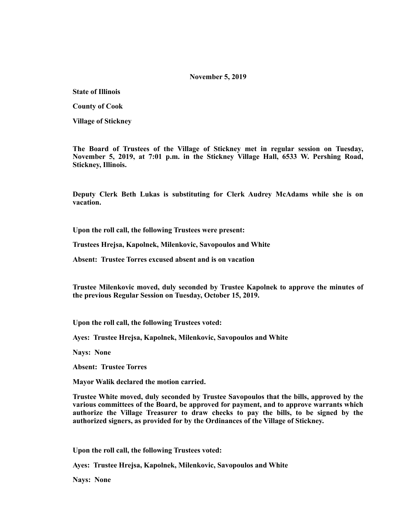# **November 5, 2019**

**State of Illinois** 

**County of Cook** 

**Village of Stickney** 

**The Board of Trustees of the Village of Stickney met in regular session on Tuesday, November 5, 2019, at 7:01 p.m. in the Stickney Village Hall, 6533 W. Pershing Road, Stickney, Illinois.** 

**Deputy Clerk Beth Lukas is substituting for Clerk Audrey McAdams while she is on vacation.** 

**Upon the roll call, the following Trustees were present:** 

**Trustees Hrejsa, Kapolnek, Milenkovic, Savopoulos and White** 

**Absent: Trustee Torres excused absent and is on vacation** 

**Trustee Milenkovic moved, duly seconded by Trustee Kapolnek to approve the minutes of the previous Regular Session on Tuesday, October 15, 2019.** 

**Upon the roll call, the following Trustees voted:** 

**Ayes: Trustee Hrejsa, Kapolnek, Milenkovic, Savopoulos and White** 

**Nays: None** 

**Absent: Trustee Torres** 

**Mayor Walik declared the motion carried.** 

**Trustee White moved, duly seconded by Trustee Savopoulos that the bills, approved by the various committees of the Board, be approved for payment, and to approve warrants which authorize the Village Treasurer to draw checks to pay the bills, to be signed by the authorized signers, as provided for by the Ordinances of the Village of Stickney.** 

**Upon the roll call, the following Trustees voted:** 

**Ayes: Trustee Hrejsa, Kapolnek, Milenkovic, Savopoulos and White** 

**Nays: None**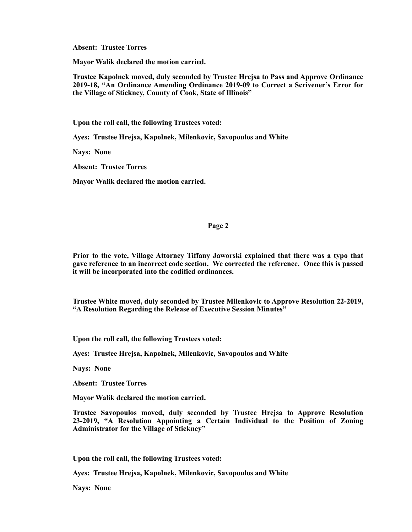**Absent: Trustee Torres** 

**Mayor Walik declared the motion carried.** 

**Trustee Kapolnek moved, duly seconded by Trustee Hrejsa to Pass and Approve Ordinance 2019-18, "An Ordinance Amending Ordinance 2019-09 to Correct a Scrivener's Error for the Village of Stickney, County of Cook, State of Illinois"** 

**Upon the roll call, the following Trustees voted:** 

**Ayes: Trustee Hrejsa, Kapolnek, Milenkovic, Savopoulos and White** 

**Nays: None** 

**Absent: Trustee Torres** 

**Mayor Walik declared the motion carried.** 

## **Page 2**

**Prior to the vote, Village Attorney Tiffany Jaworski explained that there was a typo that gave reference to an incorrect code section. We corrected the reference. Once this is passed it will be incorporated into the codified ordinances.** 

**Trustee White moved, duly seconded by Trustee Milenkovic to Approve Resolution 22-2019, "A Resolution Regarding the Release of Executive Session Minutes"** 

**Upon the roll call, the following Trustees voted:** 

**Ayes: Trustee Hrejsa, Kapolnek, Milenkovic, Savopoulos and White** 

**Nays: None** 

**Absent: Trustee Torres** 

**Mayor Walik declared the motion carried.** 

**Trustee Savopoulos moved, duly seconded by Trustee Hrejsa to Approve Resolution 23-2019, "A Resolution Appointing a Certain Individual to the Position of Zoning Administrator for the Village of Stickney"** 

**Upon the roll call, the following Trustees voted:** 

**Ayes: Trustee Hrejsa, Kapolnek, Milenkovic, Savopoulos and White** 

**Nays: None**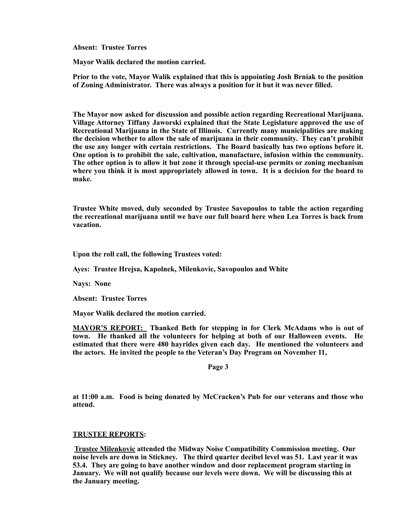**Absent: Trustee Torres** 

**Mayor Walik declared the motion carried.** 

**Prior to the vote, Mayor Walik explained that this is appointing Josh Brniak to the position of Zoning Administrator. There was always a position for it but it was never filled.** 

**The Mayor now asked for discussion and possible action regarding Recreational Marijuana. Village Attorney Tiffany Jaworski explained that the State Legislature approved the use of Recreational Marijuana in the State of Illinois. Currently many municipalities are making the decision whether to allow the sale of marijuana in their community. They can't prohibit the use any longer with certain restrictions. The Board basically has two options before it. One option is to prohibit the sale, cultivation, manufacture, infusion within the community. The other option is to allow it but zone it through special-use permits or zoning mechanism where you think it is most appropriately allowed in town. It is a decision for the board to make.** 

**Trustee White moved, duly seconded by Trustee Savopoulos to table the action regarding the recreational marijuana until we have our full board here when Lea Torres is back from vacation.** 

**Upon the roll call, the following Trustees voted:** 

**Ayes: Trustee Hrejsa, Kapolnek, Milenkovic, Savopoulos and White** 

**Nays: None** 

**Absent: Trustee Torres** 

**Mayor Walik declared the motion carried.** 

**MAYOR'S REPORT: Thanked Beth for stepping in for Clerk McAdams who is out of town. He thanked all the volunteers for helping at both of our Halloween events. He estimated that there were 480 hayrides given each day. He mentioned the volunteers and the actors. He invited the people to the Veteran's Day Program on November 11,** 

**Page 3** 

**at 11:00 a.m. Food is being donated by McCracken's Pub for our veterans and those who attend.** 

### **TRUSTEE REPORTS:**

**Trustee Milenkovic attended the Midway Noise Compatibility Commission meeting. Our noise levels are down in Stickney. The third quarter decibel level was 51. Last year it was 53.4. They are going to have another window and door replacement program starting in January. We will not qualify because our levels were down. We will be discussing this at the January meeting.**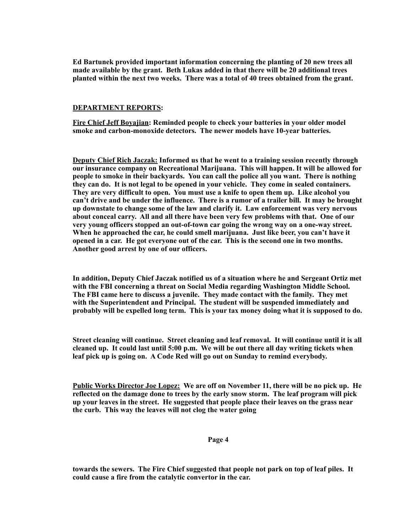**Ed Bartunek provided important information concerning the planting of 20 new trees all made available by the grant. Beth Lukas added in that there will be 20 additional trees planted within the next two weeks. There was a total of 40 trees obtained from the grant.** 

#### **DEPARTMENT REPORTS:**

**Fire Chief Jeff Boyajian: Reminded people to check your batteries in your older model smoke and carbon-monoxide detectors. The newer models have 10-year batteries.** 

**Deputy Chief Rich Jaczak: Informed us that he went to a training session recently through our insurance company on Recreational Marijuana. This will happen. It will be allowed for people to smoke in their backyards. You can call the police all you want. There is nothing they can do. It is not legal to be opened in your vehicle. They come in sealed containers. They are very difficult to open. You must use a knife to open them up. Like alcohol you can't drive and be under the influence. There is a rumor of a trailer bill. It may be brought up downstate to change some of the law and clarify it. Law enforcement was very nervous about conceal carry. All and all there have been very few problems with that. One of our very young officers stopped an out-of-town car going the wrong way on a one-way street. When he approached the car, he could smell marijuana. Just like beer, you can't have it opened in a car. He got everyone out of the car. This is the second one in two months. Another good arrest by one of our officers.** 

**In addition, Deputy Chief Jaczak notified us of a situation where he and Sergeant Ortiz met with the FBI concerning a threat on Social Media regarding Washington Middle School. The FBI came here to discuss a juvenile. They made contact with the family. They met with the Superintendent and Principal. The student will be suspended immediately and probably will be expelled long term. This is your tax money doing what it is supposed to do.** 

**Street cleaning will continue. Street cleaning and leaf removal. It will continue until it is all cleaned up. It could last until 5:00 p.m. We will be out there all day writing tickets when leaf pick up is going on. A Code Red will go out on Sunday to remind everybody.** 

**Public Works Director Joe Lopez: We are off on November 11, there will be no pick up. He reflected on the damage done to trees by the early snow storm. The leaf program will pick up your leaves in the street. He suggested that people place their leaves on the grass near the curb. This way the leaves will not clog the water going** 

## **Page 4**

**towards the sewers. The Fire Chief suggested that people not park on top of leaf piles. It could cause a fire from the catalytic convertor in the car.**